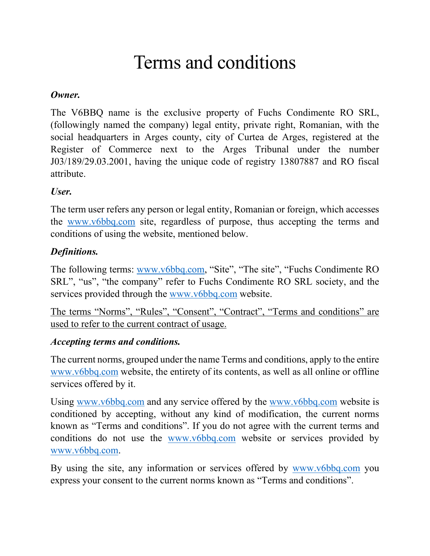# Terms and conditions

### *Owner.*

The V6BBQ name is the exclusive property of Fuchs Condimente RO SRL, (followingly named the company) legal entity, private right, Romanian, with the social headquarters in Arges county, city of Curtea de Arges, registered at the Register of Commerce next to the Arges Tribunal under the number J03/189/29.03.2001, having the unique code of registry 13807887 and RO fiscal attribute.

# *User.*

The term user refers any person or legal entity, Romanian or foreign, which accesses the [www.v6bbq.com](http://www.v6bbq.com/) site, regardless of purpose, thus accepting the terms and conditions of using the website, mentioned below.

# *Definitions.*

The following terms: [www.v6bbq.com,](http://www.v6bbq.com/) "Site", "The site", "Fuchs Condimente RO SRL", "us", "the company" refer to Fuchs Condimente RO SRL society, and the services provided through the [www.v6bbq.com](http://www.v6bbq.com/) website.

The terms "Norms", "Rules", "Consent", "Contract", "Terms and conditions" are used to refer to the current contract of usage.

#### *Accepting terms and conditions.*

The current norms, grouped under the name Terms and conditions, apply to the entire [www.v6bbq.com](http://www.v6bbq.com/) website, the entirety of its contents, as well as all online or offline services offered by it.

Using [www.v6bbq.com](http://www.v6bbq.com/) and any service offered by the www.v6bbq.com website is conditioned by accepting, without any kind of modification, the current norms known as "Terms and conditions". If you do not agree with the current terms and conditions do not use the [www.v6bbq.com](http://www.v6bbq.com/) website or services provided by [www.v6bbq.com.](http://www.v6bbq.com/)

By using the site, any information or services offered by [www.v6bbq.com](http://www.v6bbq.com/) you express your consent to the current norms known as "Terms and conditions".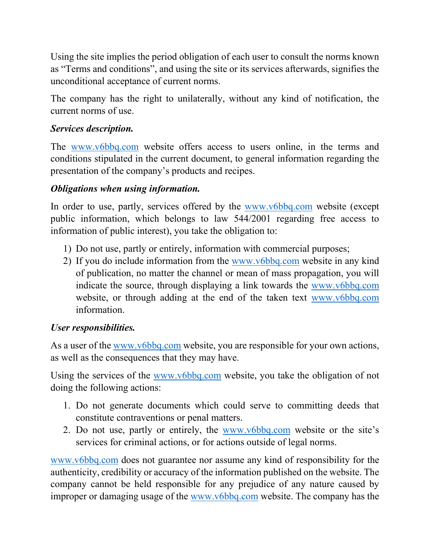Using the site implies the period obligation of each user to consult the norms known as "Terms and conditions", and using the site or its services afterwards, signifies the unconditional acceptance of current norms.

The company has the right to unilaterally, without any kind of notification, the current norms of use.

# *Services description.*

The [www.v6bbq.com](http://www.v6bbq.com/) website offers access to users online, in the terms and conditions stipulated in the current document, to general information regarding the presentation of the company's products and recipes.

# *Obligations when using information.*

In order to use, partly, services offered by the [www.v6bbq.com](http://www.v6bbq.com/) website (except public information, which belongs to law 544/2001 regarding free access to information of public interest), you take the obligation to:

- 1) Do not use, partly or entirely, information with commercial purposes;
- 2) If you do include information from the [www.v6bbq.com](http://www.v6bbq.com/) website in any kind of publication, no matter the channel or mean of mass propagation, you will indicate the source, through displaying a link towards the [www.v6bbq.com](http://www.v6bbq.com/) website, or through adding at the end of the taken text [www.v6bbq.com](http://www.v6bbq.com/) information.

# *User responsibilities.*

As a user of the [www.v6bbq.com](http://www.v6bbq.com/) website, you are responsible for your own actions, as well as the consequences that they may have.

Using the services of the [www.v6bbq.com](http://www.v6bbq.com/) website, you take the obligation of not doing the following actions:

- 1. Do not generate documents which could serve to committing deeds that constitute contraventions or penal matters.
- 2. Do not use, partly or entirely, the [www.v6bbq.com](http://www.v6bbq.com/) website or the site's services for criminal actions, or for actions outside of legal norms.

[www.v6bbq.com](http://www.v6bbq.com/) does not guarantee nor assume any kind of responsibility for the authenticity, credibility or accuracy of the information published on the website. The company cannot be held responsible for any prejudice of any nature caused by improper or damaging usage of the [www.v6bbq.com](http://www.v6bbq.com/) website. The company has the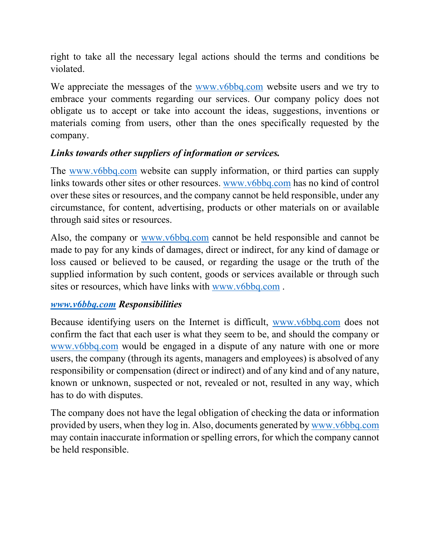right to take all the necessary legal actions should the terms and conditions be violated.

We appreciate the messages of the [www.v6bbq.com](http://www.v6bbq.com/) website users and we try to embrace your comments regarding our services. Our company policy does not obligate us to accept or take into account the ideas, suggestions, inventions or materials coming from users, other than the ones specifically requested by the company.

#### *Links towards other suppliers of information or services.*

The [www.v6bbq.com](http://www.v6bbq.com/) website can supply information, or third parties can supply links towards other sites or other resources. [www.v6bbq.com](http://www.v6bbq.com/) has no kind of control over these sites or resources, and the company cannot be held responsible, under any circumstance, for content, advertising, products or other materials on or available through said sites or resources.

Also, the company or [www.v6bbq.com](http://www.v6bbq.com/) cannot be held responsible and cannot be made to pay for any kinds of damages, direct or indirect, for any kind of damage or loss caused or believed to be caused, or regarding the usage or the truth of the supplied information by such content, goods or services available or through such sites or resources, which have links with [www.v6bbq.com](http://www.v6bbq.com/).

#### *[www.v6bbq.com](http://www.v6bbq.com/) Responsibilities*

Because identifying users on the Internet is difficult, [www.v6bbq.com](http://www.v6bbq.com/) does not confirm the fact that each user is what they seem to be, and should the company or [www.v6bbq.com](http://www.v6bbq.com/) would be engaged in a dispute of any nature with one or more users, the company (through its agents, managers and employees) is absolved of any responsibility or compensation (direct or indirect) and of any kind and of any nature, known or unknown, suspected or not, revealed or not, resulted in any way, which has to do with disputes.

The company does not have the legal obligation of checking the data or information provided by users, when they log in. Also, documents generated by [www.v6bbq.com](http://www.v6bbq.com/) may contain inaccurate information or spelling errors, for which the company cannot be held responsible.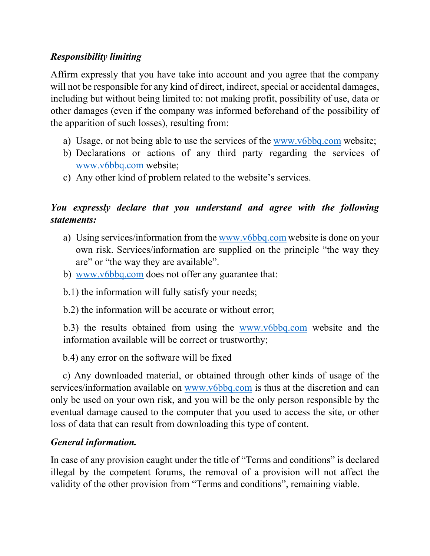# *Responsibility limiting*

Affirm expressly that you have take into account and you agree that the company will not be responsible for any kind of direct, indirect, special or accidental damages, including but without being limited to: not making profit, possibility of use, data or other damages (even if the company was informed beforehand of the possibility of the apparition of such losses), resulting from:

- a) Usage, or not being able to use the services of the [www.v6bbq.com](http://www.v6bbq.com/) website;
- b) Declarations or actions of any third party regarding the services of [www.v6bbq.com](http://www.v6bbq.com/) website;
- c) Any other kind of problem related to the website's services.

# *You expressly declare that you understand and agree with the following statements:*

- a) Using services/information from the [www.v6bbq.com](http://www.v6bbq.com/) website is done on your own risk. Services/information are supplied on the principle "the way they are" or "the way they are available".
- b) [www.v6bbq.com](http://www.v6bbq.com/) does not offer any guarantee that:
- b.1) the information will fully satisfy your needs;
- b.2) the information will be accurate or without error;

b.3) the results obtained from using the [www.v6bbq.com](http://www.v6bbq.com/) website and the information available will be correct or trustworthy;

b.4) any error on the software will be fixed

 c) Any downloaded material, or obtained through other kinds of usage of the services/information available on [www.v6bbq.com](http://www.v6bbq.com/) is thus at the discretion and can only be used on your own risk, and you will be the only person responsible by the eventual damage caused to the computer that you used to access the site, or other loss of data that can result from downloading this type of content.

#### *General information.*

In case of any provision caught under the title of "Terms and conditions" is declared illegal by the competent forums, the removal of a provision will not affect the validity of the other provision from "Terms and conditions", remaining viable.